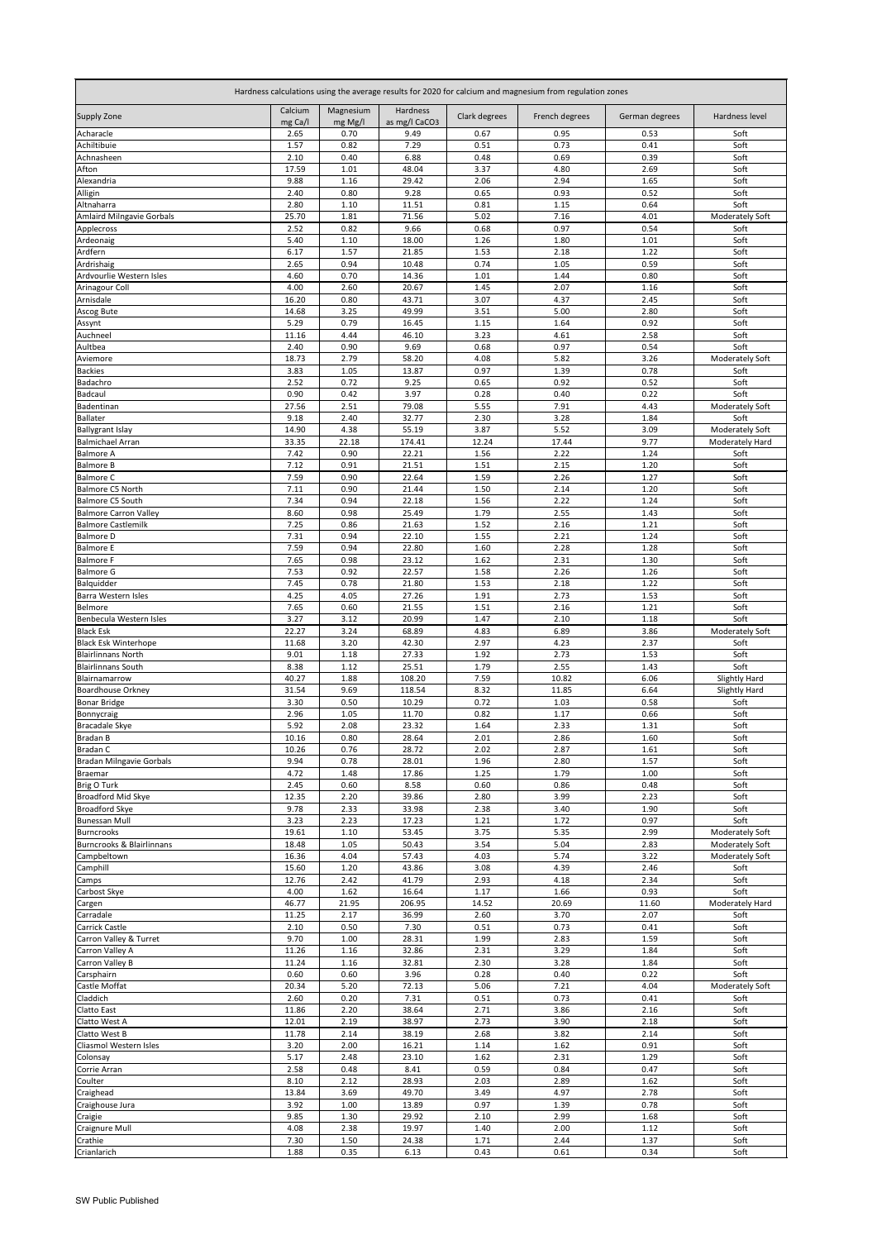| Hardness calculations using the average results for 2020 for calcium and magnesium from regulation zones |                    |                      |                           |               |                |                |                                |  |
|----------------------------------------------------------------------------------------------------------|--------------------|----------------------|---------------------------|---------------|----------------|----------------|--------------------------------|--|
| <b>Supply Zone</b>                                                                                       | Calcium<br>mg Ca/l | Magnesium<br>mg Mg/l | Hardness<br>as mg/l CaCO3 | Clark degrees | French degrees | German degrees | Hardness level                 |  |
| Acharacle                                                                                                | 2.65               | 0.70                 | 9.49                      | 0.67          | 0.95           | 0.53           | Soft                           |  |
| Achiltibuie                                                                                              | 1.57               | 0.82                 | 7.29                      | 0.51          | 0.73           | 0.41           | Soft                           |  |
| Achnasheen<br>Afton                                                                                      | 2.10<br>17.59      | 0.40<br>1.01         | 6.88<br>48.04             | 0.48<br>3.37  | 0.69<br>4.80   | 0.39<br>2.69   | Soft<br>Soft                   |  |
| Alexandria                                                                                               | 9.88               | 1.16                 | 29.42                     | 2.06          | 2.94           | 1.65           | Soft                           |  |
| Alligin                                                                                                  | 2.40               | 0.80                 | 9.28                      | 0.65          | 0.93           | 0.52           | Soft                           |  |
| Altnaharra                                                                                               | 2.80               | 1.10                 | 11.51                     | 0.81          | 1.15           | 0.64           | Soft                           |  |
| <b>Amlaird Milngavie Gorbals</b><br>Applecross                                                           | 25.70<br>2.52      | 1.81<br>0.82         | 71.56<br>9.66             | 5.02<br>0.68  | 7.16<br>0.97   | 4.01<br>0.54   | <b>Moderately Soft</b><br>Soft |  |
| Ardeonaig                                                                                                | 5.40               | 1.10                 | 18.00                     | 1.26          | 1.80           | 1.01           | Soft                           |  |
| Ardfern                                                                                                  | 6.17               | 1.57                 | 21.85                     | 1.53          | 2.18           | 1.22           | Soft                           |  |
| Ardrishaig                                                                                               | 2.65               | 0.94                 | 10.48                     | 0.74          | 1.05           | 0.59           | Soft                           |  |
| Ardvourlie Western Isles                                                                                 | 4.60<br>4.00       | 0.70<br>2.60         | 14.36<br>20.67            | 1.01<br>1.45  | 1.44<br>2.07   | 0.80<br>1.16   | Soft<br>Soft                   |  |
| Arinagour Coll<br>Arnisdale                                                                              | 16.20              | 0.80                 | 43.71                     | 3.07          | 4.37           | 2.45           | Soft                           |  |
| Ascog Bute                                                                                               | 14.68              | 3.25                 | 49.99                     | 3.51          | 5.00           | 2.80           | Soft                           |  |
| Assynt                                                                                                   | 5.29               | 0.79                 | 16.45                     | 1.15          | 1.64           | 0.92           | Soft                           |  |
| Auchneel                                                                                                 | 11.16              | 4.44                 | 46.10                     | 3.23          | 4.61           | 2.58           | Soft<br>Soft                   |  |
| Aultbea<br>Aviemore                                                                                      | 2.40<br>18.73      | 0.90<br>2.79         | 9.69<br>58.20             | 0.68<br>4.08  | 0.97<br>5.82   | 0.54<br>3.26   | Moderately Soft                |  |
| <b>Backies</b>                                                                                           | 3.83               | 1.05                 | 13.87                     | 0.97          | 1.39           | 0.78           | Soft                           |  |
| Badachro                                                                                                 | 2.52               | 0.72                 | 9.25                      | 0.65          | 0.92           | 0.52           | Soft                           |  |
| <b>Badcaul</b>                                                                                           | 0.90               | 0.42                 | 3.97                      | 0.28          | 0.40           | 0.22           | Soft                           |  |
| Badentinan<br>Ballater                                                                                   | 27.56<br>9.18      | 2.51<br>2.40         | 79.08<br>32.77            | 5.55<br>2.30  | 7.91<br>3.28   | 4.43<br>1.84   | Moderately Soft<br>Soft        |  |
| <b>Ballygrant Islay</b>                                                                                  | 14.90              | 4.38                 | 55.19                     | 3.87          | 5.52           | 3.09           | Moderately Soft                |  |
| <b>Balmichael Arran</b>                                                                                  | 33.35              | 22.18                | 174.41                    | 12.24         | 17.44          | 9.77           | Moderately Hard                |  |
| <b>Balmore A</b>                                                                                         | 7.42               | 0.90                 | 22.21                     | 1.56          | 2.22           | 1.24           | Soft                           |  |
| <b>Balmore B</b><br><b>Balmore C</b>                                                                     | 7.12<br>7.59       | 0.91<br>0.90         | 21.51<br>22.64            | 1.51<br>1.59  | 2.15<br>2.26   | 1.20<br>1.27   | Soft<br>Soft                   |  |
| Balmore C5 North                                                                                         | 7.11               | 0.90                 | 21.44                     | 1.50          | 2.14           | 1.20           | Soft                           |  |
| Balmore C5 South                                                                                         | 7.34               | 0.94                 | 22.18                     | 1.56          | 2.22           | 1.24           | Soft                           |  |
| <b>Balmore Carron Valley</b><br><b>Balmore Castlemilk</b>                                                | 8.60<br>7.25       | 0.98<br>0.86         | 25.49<br>21.63            | 1.79<br>1.52  | 2.55<br>2.16   | 1.43           | Soft<br>Soft                   |  |
| <b>Balmore D</b>                                                                                         | 7.31               | 0.94                 | 22.10                     | 1.55          | 2.21           | 1.21<br>1.24   | Soft                           |  |
| <b>Balmore E</b>                                                                                         | 7.59               | 0.94                 | 22.80                     | 1.60          | 2.28           | 1.28           | Soft                           |  |
| <b>Balmore F</b>                                                                                         | 7.65               | 0.98                 | 23.12                     | 1.62          | 2.31           | 1.30           | Soft                           |  |
| <b>Balmore G</b>                                                                                         | 7.53               | 0.92                 | 22.57                     | 1.58          | 2.26           | 1.26           | Soft                           |  |
| Balquidder<br><b>Barra Western Isles</b>                                                                 | 7.45<br>4.25       | 0.78<br>4.05         | 21.80<br>27.26            | 1.53<br>1.91  | 2.18<br>2.73   | 1.22<br>1.53   | Soft<br>Soft                   |  |
| Belmore                                                                                                  | 7.65               | 0.60                 | 21.55                     | 1.51          | 2.16           | 1.21           | Soft                           |  |
| Benbecula Western Isles                                                                                  | 3.27               | 3.12                 | 20.99                     | 1.47          | 2.10           | 1.18           | Soft                           |  |
| <b>Black Esk</b><br><b>Black Esk Winterhope</b>                                                          | 22.27<br>11.68     | 3.24<br>3.20         | 68.89<br>42.30            | 4.83<br>2.97  | 6.89<br>4.23   | 3.86<br>2.37   | Moderately Soft<br>Soft        |  |
| <b>Blairlinnans North</b>                                                                                | 9.01               | 1.18                 | 27.33                     | 1.92          | 2.73           | 1.53           | Soft                           |  |
| <b>Blairlinnans South</b>                                                                                | 8.38               | 1.12                 | 25.51                     | 1.79          | 2.55           | 1.43           | Soft                           |  |
| Blairnamarrow                                                                                            | 40.27              | 1.88                 | 108.20                    | 7.59          | 10.82          | 6.06           | Slightly Hard                  |  |
| <b>Boardhouse Orkney</b><br><b>Bonar Bridge</b>                                                          | 31.54<br>3.30      | 9.69<br>0.50         | 118.54<br>10.29           | 8.32<br>0.72  | 11.85<br>1.03  | 6.64<br>0.58   | Slightly Hard<br>Soft          |  |
| Bonnycraig                                                                                               | 2.96               | 1.05                 | 11.70                     | 0.82          | 1.17           | 0.66           | Soft                           |  |
| <b>Bracadale Skye</b>                                                                                    | 5.92               | 2.08                 | 23.32                     | 1.64          | 2.33           | 1.31           | Soft                           |  |
| <b>Bradan B</b><br><b>Bradan C</b>                                                                       | 10.16              | 0.80<br>0.76         | 28.64<br>28.72            | 2.01<br>2.02  | 2.86<br>2.87   | 1.60           | Soft<br>Soft                   |  |
| Bradan Milngavie Gorbals                                                                                 | 10.26<br>9.94      | 0.78                 | 28.01                     | 1.96          | 2.80           | 1.61<br>1.57   | Soft                           |  |
| <b>Braemar</b>                                                                                           | 4.72               | 1.48                 | 17.86                     | 1.25          | 1.79           | 1.00           | Soft                           |  |
| <b>Brig O Turk</b>                                                                                       | 2.45               | 0.60                 | 8.58                      | 0.60          | 0.86           | 0.48           | Soft                           |  |
| Broadford Mid Skye<br><b>Broadford Skye</b>                                                              | 12.35<br>9.78      | 2.20<br>2.33         | 39.86<br>33.98            | 2.80<br>2.38  | 3.99<br>3.40   | 2.23<br>1.90   | Soft<br>Soft                   |  |
| <b>Bunessan Mull</b>                                                                                     | 3.23               | 2.23                 | 17.23                     | 1.21          | 1.72           | 0.97           | Soft                           |  |
| <b>Burncrooks</b>                                                                                        | 19.61              | 1.10                 | 53.45                     | 3.75          | 5.35           | 2.99           | Moderately Soft                |  |
| Burncrooks & Blairlinnans                                                                                | 18.48              | 1.05                 | 50.43                     | 3.54          | 5.04           | 2.83           | <b>Moderately Soft</b>         |  |
| Campbeltown<br>Camphill                                                                                  | 16.36<br>15.60     | 4.04<br>1.20         | 57.43<br>43.86            | 4.03<br>3.08  | 5.74<br>4.39   | 3.22<br>2.46   | Moderately Soft<br>Soft        |  |
| Camps                                                                                                    | 12.76              | 2.42                 | 41.79                     | 2.93          | 4.18           | 2.34           | Soft                           |  |
| Carbost Skye                                                                                             | 4.00               | 1.62                 | 16.64                     | 1.17          | 1.66           | 0.93           | Soft                           |  |
| Cargen<br>Carradale                                                                                      | 46.77<br>11.25     | 21.95<br>2.17        | 206.95<br>36.99           | 14.52<br>2.60 | 20.69<br>3.70  | 11.60<br>2.07  | Moderately Hard<br>Soft        |  |
| Carrick Castle                                                                                           | 2.10               | 0.50                 | 7.30                      | 0.51          | 0.73           | 0.41           | Soft                           |  |
| Carron Valley & Turret                                                                                   | 9.70               | 1.00                 | 28.31                     | 1.99          | 2.83           | 1.59           | Soft                           |  |
| Carron Valley A                                                                                          | 11.26              | 1.16                 | 32.86                     | 2.31          | 3.29           | 1.84           | Soft                           |  |
| Carron Valley B<br>Carsphairn                                                                            | 11.24<br>0.60      | 1.16<br>0.60         | 32.81<br>3.96             | 2.30<br>0.28  | 3.28<br>0.40   | 1.84<br>0.22   | Soft<br>Soft                   |  |
| Castle Moffat                                                                                            | 20.34              | 5.20                 | 72.13                     | 5.06          | 7.21           | 4.04           | <b>Moderately Soft</b>         |  |
| Claddich                                                                                                 | 2.60               | 0.20                 | 7.31                      | 0.51          | 0.73           | 0.41           | Soft                           |  |
| <b>Clatto East</b>                                                                                       | 11.86              | 2.20                 | 38.64                     | 2.71          | 3.86           | 2.16           | Soft                           |  |
| Clatto West A<br>Clatto West B                                                                           | 12.01<br>11.78     | 2.19<br>2.14         | 38.97<br>38.19            | 2.73<br>2.68  | 3.90<br>3.82   | 2.18<br>2.14   | Soft<br>Soft                   |  |
| Cliasmol Western Isles                                                                                   | 3.20               | 2.00                 | 16.21                     | 1.14          | 1.62           | 0.91           | Soft                           |  |
| Colonsay                                                                                                 | 5.17               | 2.48                 | 23.10                     | 1.62          | 2.31           | 1.29           | Soft                           |  |
| Corrie Arran<br>Coulter                                                                                  | 2.58<br>8.10       | 0.48<br>2.12         | 8.41<br>28.93             | 0.59<br>2.03  | 0.84<br>2.89   | 0.47<br>1.62   | Soft<br>Soft                   |  |
| Craighead                                                                                                | 13.84              | 3.69                 | 49.70                     | 3.49          | 4.97           | 2.78           | Soft                           |  |
| Craighouse Jura                                                                                          | 3.92               | 1.00                 | 13.89                     | 0.97          | 1.39           | 0.78           | Soft                           |  |
| Craigie                                                                                                  | 9.85               | 1.30                 | 29.92                     | 2.10          | 2.99           | 1.68           | Soft                           |  |
| <b>Craignure Mull</b><br>Crathie                                                                         | 4.08<br>7.30       | 2.38<br>1.50         | 19.97<br>24.38            | 1.40<br>1.71  | 2.00<br>2.44   | 1.12<br>1.37   | Soft<br>Soft                   |  |
| Crianlarich                                                                                              | 1.88               | 0.35                 | 6.13                      | 0.43          | 0.61           | 0.34           | Soft                           |  |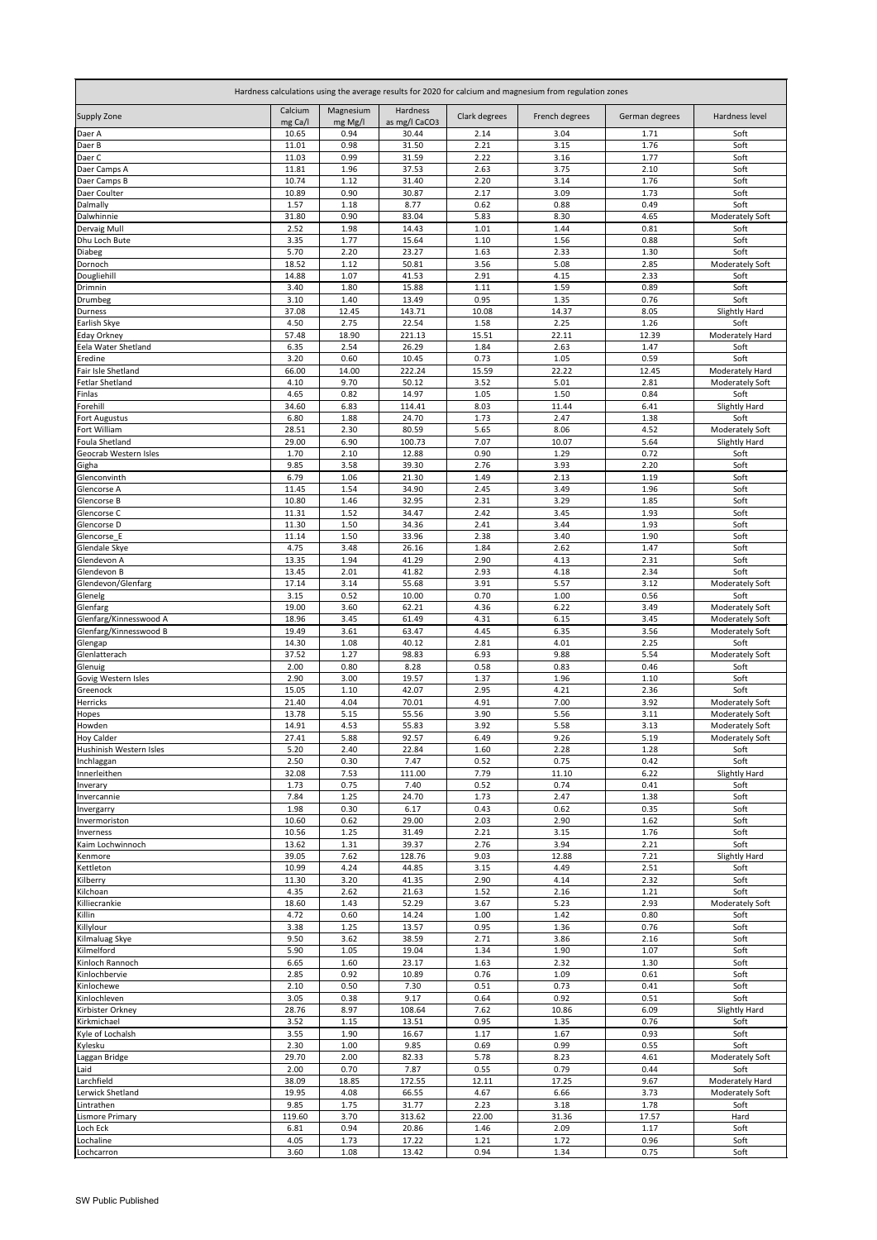| Hardness calculations using the average results for 2020 for calcium and magnesium from regulation zones |                    |                      |                           |               |                |                |                                           |  |
|----------------------------------------------------------------------------------------------------------|--------------------|----------------------|---------------------------|---------------|----------------|----------------|-------------------------------------------|--|
| <b>Supply Zone</b>                                                                                       | Calcium<br>mg Ca/l | Magnesium<br>mg Mg/I | Hardness<br>as mg/l CaCO3 | Clark degrees | French degrees | German degrees | <b>Hardness level</b>                     |  |
| Daer A                                                                                                   | 10.65              | 0.94                 | 30.44                     | 2.14          | 3.04           | 1.71           | Soft                                      |  |
| Daer B                                                                                                   | 11.01              | 0.98                 | 31.50                     | 2.21          | 3.15           | 1.76           | Soft                                      |  |
| Daer C<br>Daer Camps A                                                                                   | 11.03<br>11.81     | 0.99<br>1.96         | 31.59<br>37.53            | 2.22<br>2.63  | 3.16<br>3.75   | 1.77<br>2.10   | Soft<br>Soft                              |  |
| Daer Camps B                                                                                             | 10.74              | 1.12                 | 31.40                     | 2.20          | 3.14           | 1.76           | Soft                                      |  |
| Daer Coulter                                                                                             | 10.89              | 0.90                 | 30.87                     | 2.17          | 3.09           | 1.73           | Soft                                      |  |
| Dalmally                                                                                                 | 1.57               | 1.18                 | 8.77                      | 0.62          | 0.88           | 0.49           | Soft                                      |  |
| Dalwhinnie                                                                                               | 31.80              | 0.90                 | 83.04                     | 5.83          | 8.30           | 4.65           | <b>Moderately Soft</b>                    |  |
| Dervaig Mull<br>Dhu Loch Bute                                                                            | 2.52<br>3.35       | 1.98<br>1.77         | 14.43<br>15.64            | 1.01<br>1.10  | 1.44<br>1.56   | 0.81<br>0.88   | Soft<br>Soft                              |  |
| Diabeg                                                                                                   | 5.70               | 2.20                 | 23.27                     | 1.63          | 2.33           | 1.30           | Soft                                      |  |
| Dornoch                                                                                                  | 18.52              | 1.12                 | 50.81                     | 3.56          | 5.08           | 2.85           | Moderately Soft                           |  |
| Dougliehill                                                                                              | 14.88              | 1.07                 | 41.53                     | 2.91          | 4.15           | 2.33           | Soft                                      |  |
| Drimnin                                                                                                  | 3.40               | 1.80                 | 15.88                     | 1.11          | 1.59           | 0.89           | Soft                                      |  |
| Drumbeg<br>Durness                                                                                       | 3.10<br>37.08      | 1.40<br>12.45        | 13.49<br>143.71           | 0.95<br>10.08 | 1.35<br>14.37  | 0.76<br>8.05   | Soft<br>Slightly Hard                     |  |
| Earlish Skye                                                                                             | 4.50               | 2.75                 | 22.54                     | 1.58          | 2.25           | 1.26           | Soft                                      |  |
| <b>Eday Orkney</b>                                                                                       | 57.48              | 18.90                | 221.13                    | 15.51         | 22.11          | 12.39          | Moderately Hard                           |  |
| Eela Water Shetland                                                                                      | 6.35               | 2.54                 | 26.29                     | 1.84          | 2.63           | 1.47           | Soft                                      |  |
| Eredine<br>Fair Isle Shetland                                                                            | 3.20               | 0.60                 | 10.45                     | 0.73          | 1.05           | 0.59           | Soft                                      |  |
| <b>Fetlar Shetland</b>                                                                                   | 66.00<br>4.10      | 14.00<br>9.70        | 222.24<br>50.12           | 15.59<br>3.52 | 22.22<br>5.01  | 12.45<br>2.81  | Moderately Hard<br><b>Moderately Soft</b> |  |
| Finlas                                                                                                   | 4.65               | 0.82                 | 14.97                     | 1.05          | 1.50           | 0.84           | Soft                                      |  |
| Forehill                                                                                                 | 34.60              | 6.83                 | 114.41                    | 8.03          | 11.44          | 6.41           | Slightly Hard                             |  |
| Fort Augustus                                                                                            | 6.80               | 1.88                 | 24.70                     | 1.73          | 2.47           | 1.38           | Soft                                      |  |
| Fort William<br>Foula Shetland                                                                           | 28.51<br>29.00     | 2.30<br>6.90         | 80.59<br>100.73           | 5.65<br>7.07  | 8.06<br>10.07  | 4.52<br>5.64   | Moderately Soft<br>Slightly Hard          |  |
| Geocrab Western Isles                                                                                    | 1.70               | 2.10                 | 12.88                     | 0.90          | 1.29           | 0.72           | Soft                                      |  |
| Gigha                                                                                                    | 9.85               | 3.58                 | 39.30                     | 2.76          | 3.93           | 2.20           | Soft                                      |  |
| Glenconvinth                                                                                             | 6.79               | 1.06                 | 21.30                     | 1.49          | 2.13           | 1.19           | Soft                                      |  |
| Glencorse A                                                                                              | 11.45              | 1.54                 | 34.90                     | 2.45          | 3.49           | 1.96           | Soft                                      |  |
| Glencorse B<br>Glencorse C                                                                               | 10.80<br>11.31     | 1.46<br>1.52         | 32.95<br>34.47            | 2.31<br>2.42  | 3.29<br>3.45   | 1.85<br>1.93   | Soft<br>Soft                              |  |
| Glencorse D                                                                                              | 11.30              | 1.50                 | 34.36                     | 2.41          | 3.44           | 1.93           | Soft                                      |  |
| Glencorse_E                                                                                              | 11.14              | 1.50                 | 33.96                     | 2.38          | 3.40           | 1.90           | Soft                                      |  |
| Glendale Skye                                                                                            | 4.75               | 3.48                 | 26.16                     | 1.84          | 2.62           | 1.47           | Soft                                      |  |
| Glendevon A<br>Glendevon B                                                                               | 13.35<br>13.45     | 1.94                 | 41.29<br>41.82            | 2.90<br>2.93  | 4.13<br>4.18   | 2.31<br>2.34   | Soft<br>Soft                              |  |
| Glendevon/Glenfarg                                                                                       | 17.14              | 2.01<br>3.14         | 55.68                     | 3.91          | 5.57           | 3.12           | Moderately Soft                           |  |
| Glenelg                                                                                                  | 3.15               | 0.52                 | 10.00                     | 0.70          | 1.00           | 0.56           | Soft                                      |  |
| Glenfarg                                                                                                 | 19.00              | 3.60                 | 62.21                     | 4.36          | 6.22           | 3.49           | <b>Moderately Soft</b>                    |  |
| Glenfarg/Kinnesswood A                                                                                   | 18.96              | 3.45                 | 61.49                     | 4.31          | 6.15           | 3.45           | Moderately Soft                           |  |
| Glenfarg/Kinnesswood B<br>Glengap                                                                        | 19.49<br>14.30     | 3.61<br>1.08         | 63.47<br>40.12            | 4.45<br>2.81  | 6.35<br>4.01   | 3.56<br>2.25   | <b>Moderately Soft</b><br>Soft            |  |
| Glenlatterach                                                                                            | 37.52              | 1.27                 | 98.83                     | 6.93          | 9.88           | 5.54           | Moderately Soft                           |  |
| Glenuig                                                                                                  | 2.00               | 0.80                 | 8.28                      | 0.58          | 0.83           | 0.46           | Soft                                      |  |
| Govig Western Isles                                                                                      | 2.90               | 3.00                 | 19.57                     | 1.37          | 1.96           | 1.10           | Soft                                      |  |
| Greenock                                                                                                 | 15.05              | 1.10                 | 42.07                     | 2.95          | 4.21           | 2.36           | Soft                                      |  |
| Herricks<br>Hopes                                                                                        | 21.40<br>13.78     | 4.04<br>5.15         | 70.01<br>55.56            | 4.91<br>3.90  | 7.00<br>5.56   | 3.92<br>3.11   | Moderately Soft<br><b>Moderately Soft</b> |  |
| Howden                                                                                                   | 14.91              | 4.53                 | 55.83                     | 3.92          | 5.58           | 3.13           | <b>Moderately Soft</b>                    |  |
| <b>Hoy Calder</b>                                                                                        | 27.41              | 5.88                 | 92.57                     | 6.49          | 9.26           | 5.19           | Moderately Soft                           |  |
| Hushinish Western Isles                                                                                  | 5.20               | 2.40                 | 22.84                     | 1.60          | 2.28           | 1.28           | Soft                                      |  |
| Inchlaggan<br>Innerleithen                                                                               | 2.50<br>32.08      | 0.30<br>7.53         | 7.47<br>111.00            | 0.52<br>7.79  | 0.75<br>11.10  | 0.42<br>6.22   | Soft<br>Slightly Hard                     |  |
| Inverary                                                                                                 | 1.73               | 0.75                 | 7.40                      | 0.52          | 0.74           | 0.41           | Soft                                      |  |
| Invercannie                                                                                              | 7.84               | 1.25                 | 24.70                     | 1.73          | 2.47           | 1.38           | Soft                                      |  |
| Invergarry                                                                                               | 1.98               | 0.30                 | 6.17                      | 0.43          | 0.62           | 0.35           | Soft                                      |  |
| Invermoriston                                                                                            | 10.60              | 0.62<br>1.25         | 29.00<br>31.49            | 2.03<br>2.21  | 2.90<br>3.15   | 1.62<br>1.76   | Soft<br>Soft                              |  |
| Inverness<br>Kaim Lochwinnoch                                                                            | 10.56<br>13.62     | 1.31                 | 39.37                     | 2.76          | 3.94           | 2.21           | Soft                                      |  |
| Kenmore                                                                                                  | 39.05              | 7.62                 | 128.76                    | 9.03          | 12.88          | 7.21           | Slightly Hard                             |  |
| Kettleton                                                                                                | 10.99              | 4.24                 | 44.85                     | 3.15          | 4.49           | 2.51           | Soft                                      |  |
| Kilberry                                                                                                 | 11.30              | 3.20                 | 41.35                     | 2.90          | 4.14           | 2.32           | Soft<br>Soft                              |  |
| Kilchoan<br>Killiecrankie                                                                                | 4.35<br>18.60      | 2.62<br>1.43         | 21.63<br>52.29            | 1.52<br>3.67  | 2.16<br>5.23   | 1.21<br>2.93   | Moderately Soft                           |  |
| Killin                                                                                                   | 4.72               | 0.60                 | 14.24                     | 1.00          | 1.42           | 0.80           | Soft                                      |  |
| Killylour                                                                                                | 3.38               | 1.25                 | 13.57                     | 0.95          | 1.36           | 0.76           | Soft                                      |  |
| Kilmaluag Skye                                                                                           | 9.50               | 3.62                 | 38.59                     | 2.71          | 3.86           | 2.16           | Soft                                      |  |
| Kilmelford<br>Kinloch Rannoch                                                                            | 5.90<br>6.65       | 1.05<br>1.60         | 19.04<br>23.17            | 1.34<br>1.63  | 1.90<br>2.32   | 1.07<br>1.30   | Soft<br>Soft                              |  |
| Kinlochbervie                                                                                            | 2.85               | 0.92                 | 10.89                     | 0.76          | 1.09           | 0.61           | Soft                                      |  |
| Kinlochewe                                                                                               | 2.10               | 0.50                 | 7.30                      | 0.51          | 0.73           | 0.41           | Soft                                      |  |
| Kinlochleven                                                                                             | 3.05               | 0.38                 | 9.17                      | 0.64          | 0.92           | 0.51           | Soft                                      |  |
| Kirbister Orkney                                                                                         | 28.76              | 8.97                 | 108.64                    | 7.62          | 10.86          | 6.09           | Slightly Hard                             |  |
| Kirkmichael<br>Kyle of Lochalsh                                                                          | 3.52<br>3.55       | 1.15<br>1.90         | 13.51<br>16.67            | 0.95<br>1.17  | 1.35<br>1.67   | 0.76<br>0.93   | Soft<br>Soft                              |  |
| Kylesku                                                                                                  | 2.30               | 1.00                 | 9.85                      | 0.69          | 0.99           | 0.55           | Soft                                      |  |
| Laggan Bridge                                                                                            | 29.70              | 2.00                 | 82.33                     | 5.78          | 8.23           | 4.61           | <b>Moderately Soft</b>                    |  |
| Laid                                                                                                     | 2.00               | 0.70                 | 7.87                      | 0.55          | 0.79           | 0.44           | Soft                                      |  |
| Larchfield                                                                                               | 38.09              | 18.85                | 172.55<br>66.55           | 12.11         | 17.25<br>6.66  | 9.67           | Moderately Hard                           |  |
| Lerwick Shetland<br>Lintrathen                                                                           | 19.95<br>9.85      | 4.08<br>1.75         | 31.77                     | 4.67<br>2.23  | 3.18           | 3.73<br>1.78   | <b>Moderately Soft</b><br>Soft            |  |
| <b>Lismore Primary</b>                                                                                   | 119.60             | 3.70                 | 313.62                    | 22.00         | 31.36          | 17.57          | Hard                                      |  |
| Loch Eck                                                                                                 | 6.81               | 0.94                 | 20.86                     | 1.46          | 2.09           | 1.17           | Soft                                      |  |
| Lochaline                                                                                                | 4.05               | 1.73                 | 17.22                     | 1.21          | 1.72           | 0.96           | Soft                                      |  |
| Lochcarron                                                                                               | 3.60               | 1.08                 | 13.42                     | 0.94          | 1.34           | 0.75           | Soft                                      |  |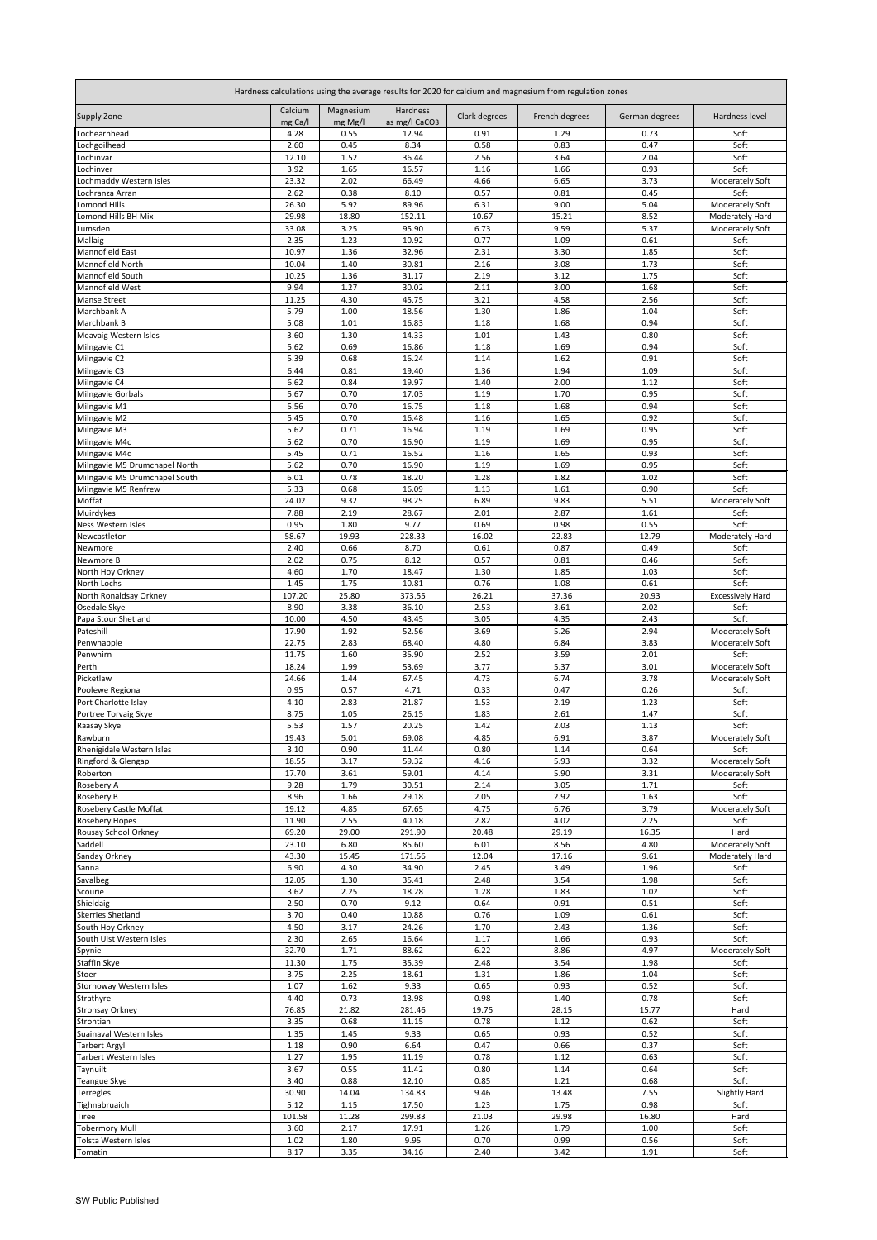| Hardness calculations using the average results for 2020 for calcium and magnesium from regulation zones |                    |                      |                           |               |                |                |                         |  |
|----------------------------------------------------------------------------------------------------------|--------------------|----------------------|---------------------------|---------------|----------------|----------------|-------------------------|--|
| <b>Supply Zone</b>                                                                                       | Calcium<br>mg Ca/l | Magnesium<br>mg Mg/l | Hardness<br>as mg/l CaCO3 | Clark degrees | French degrees | German degrees | Hardness level          |  |
| Lochearnhead                                                                                             | 4.28               | 0.55                 | 12.94                     | 0.91          | 1.29           | 0.73           | Soft                    |  |
| Lochgoilhead                                                                                             | 2.60               | 0.45                 | 8.34                      | 0.58          | 0.83           | 0.47           | Soft                    |  |
| Lochinvar<br>Lochinver                                                                                   | 12.10<br>3.92      | 1.52<br>1.65         | 36.44<br>16.57            | 2.56<br>1.16  | 3.64<br>1.66   | 2.04<br>0.93   | Soft<br>Soft            |  |
| Lochmaddy Western Isles                                                                                  | 23.32              | 2.02                 | 66.49                     | 4.66          | 6.65           | 3.73           | Moderately Soft         |  |
| Lochranza Arran                                                                                          | 2.62               | 0.38                 | 8.10                      | 0.57          | 0.81           | 0.45           | Soft                    |  |
| Lomond Hills                                                                                             | 26.30              | 5.92                 | 89.96                     | 6.31          | 9.00           | 5.04           | Moderately Soft         |  |
| Lomond Hills BH Mix                                                                                      | 29.98              | 18.80                | 152.11                    | 10.67         | 15.21          | 8.52           | Moderately Hard         |  |
| Lumsden<br>Mallaig                                                                                       | 33.08<br>2.35      | 3.25<br>1.23         | 95.90<br>10.92            | 6.73<br>0.77  | 9.59<br>1.09   | 5.37<br>0.61   | Moderately Soft<br>Soft |  |
| Mannofield East                                                                                          | 10.97              | 1.36                 | 32.96                     | 2.31          | 3.30           | 1.85           | Soft                    |  |
| Mannofield North                                                                                         | 10.04              | 1.40                 | 30.81                     | 2.16          | 3.08           | 1.73           | Soft                    |  |
| Mannofield South                                                                                         | 10.25              | 1.36                 | 31.17                     | 2.19          | 3.12           | 1.75           | Soft                    |  |
| Mannofield West                                                                                          | 9.94               | 1.27                 | 30.02                     | 2.11          | 3.00           | 1.68           | Soft                    |  |
| Manse Street<br>Marchbank A                                                                              | 11.25<br>5.79      | 4.30<br>1.00         | 45.75<br>18.56            | 3.21<br>1.30  | 4.58<br>1.86   | 2.56<br>1.04   | Soft<br>Soft            |  |
| Marchbank B                                                                                              | 5.08               | 1.01                 | 16.83                     | 1.18          | 1.68           | 0.94           | Soft                    |  |
| Meavaig Western Isles                                                                                    | 3.60               | 1.30                 | 14.33                     | 1.01          | 1.43           | 0.80           | Soft                    |  |
| Milngavie C1                                                                                             | 5.62               | 0.69                 | 16.86                     | 1.18          | 1.69           | 0.94           | Soft                    |  |
| Milngavie C2                                                                                             | 5.39               | 0.68                 | 16.24                     | 1.14          | 1.62           | 0.91           | Soft                    |  |
| Milngavie C3<br>Milngavie C4                                                                             | 6.44<br>6.62       | 0.81<br>0.84         | 19.40<br>19.97            | 1.36<br>1.40  | 1.94<br>2.00   | 1.09<br>1.12   | Soft<br>Soft            |  |
| Milngavie Gorbals                                                                                        | 5.67               | 0.70                 | 17.03                     | 1.19          | 1.70           | 0.95           | Soft                    |  |
| Milngavie M1                                                                                             | 5.56               | 0.70                 | 16.75                     | 1.18          | 1.68           | 0.94           | Soft                    |  |
| Milngavie M2                                                                                             | 5.45               | 0.70                 | 16.48                     | 1.16          | 1.65           | 0.92           | Soft                    |  |
| Milngavie M3                                                                                             | 5.62<br>5.62       | 0.71<br>0.70         | 16.94<br>16.90            | 1.19<br>1.19  | 1.69<br>1.69   | 0.95<br>0.95   | Soft<br>Soft            |  |
| Milngavie M4c<br>Milngavie M4d                                                                           | 5.45               | 0.71                 | 16.52                     | 1.16          | 1.65           | 0.93           | Soft                    |  |
| Milngavie M5 Drumchapel North                                                                            | 5.62               | 0.70                 | 16.90                     | 1.19          | 1.69           | 0.95           | Soft                    |  |
| Milngavie M5 Drumchapel South                                                                            | 6.01               | 0.78                 | 18.20                     | 1.28          | 1.82           | 1.02           | Soft                    |  |
| Milngavie M5 Renfrew                                                                                     | 5.33               | 0.68                 | 16.09                     | 1.13          | 1.61           | 0.90           | Soft                    |  |
| Moffat<br>Muirdykes                                                                                      | 24.02<br>7.88      | 9.32<br>2.19         | 98.25<br>28.67            | 6.89<br>2.01  | 9.83<br>2.87   | 5.51<br>1.61   | Moderately Soft<br>Soft |  |
| <b>Ness Western Isles</b>                                                                                | 0.95               | 1.80                 | 9.77                      | 0.69          | 0.98           | 0.55           | Soft                    |  |
| Newcastleton                                                                                             | 58.67              | 19.93                | 228.33                    | 16.02         | 22.83          | 12.79          | Moderately Hard         |  |
| Newmore                                                                                                  | 2.40               | 0.66                 | 8.70                      | 0.61          | 0.87           | 0.49           | Soft                    |  |
| Newmore B                                                                                                | 2.02               | 0.75                 | 8.12                      | 0.57          | 0.81           | 0.46           | Soft                    |  |
| North Hoy Orkney<br>North Lochs                                                                          | 4.60<br>1.45       | 1.70<br>1.75         | 18.47<br>10.81            | 1.30<br>0.76  | 1.85<br>1.08   | 1.03<br>0.61   | Soft<br>Soft            |  |
| North Ronaldsay Orkney                                                                                   | 107.20             | 25.80                | 373.55                    | 26.21         | 37.36          | 20.93          | <b>Excessively Hard</b> |  |
| Osedale Skye                                                                                             | 8.90               | 3.38                 | 36.10                     | 2.53          | 3.61           | 2.02           | Soft                    |  |
| Papa Stour Shetland                                                                                      | 10.00              | 4.50                 | 43.45                     | 3.05          | 4.35           | 2.43           | Soft                    |  |
| Pateshill                                                                                                | 17.90              | 1.92                 | 52.56                     | 3.69          | 5.26           | 2.94           | Moderately Soft         |  |
| Penwhapple<br>Penwhirn                                                                                   | 22.75<br>11.75     | 2.83<br>1.60         | 68.40<br>35.90            | 4.80<br>2.52  | 6.84<br>3.59   | 3.83<br>2.01   | Moderately Soft<br>Soft |  |
| Perth                                                                                                    | 18.24              | 1.99                 | 53.69                     | 3.77          | 5.37           | 3.01           | <b>Moderately Soft</b>  |  |
| Picketlaw                                                                                                | 24.66              | 1.44                 | 67.45                     | 4.73          | 6.74           | 3.78           | Moderately Soft         |  |
| Poolewe Regional                                                                                         | 0.95               | 0.57                 | 4.71                      | 0.33          | 0.47           | 0.26           | Soft                    |  |
| Port Charlotte Islay<br>Portree Torvaig Skye                                                             | 4.10<br>8.75       | 2.83<br>1.05         | 21.87<br>26.15            | 1.53<br>1.83  | 2.19<br>2.61   | 1.23<br>1.47   | Soft<br>Soft            |  |
| Raasay Skye                                                                                              | 5.53               | 1.57                 | 20.25                     | 1.42          | 2.03           | 1.13           | Soft                    |  |
| Rawburn                                                                                                  | 19.43              | 5.01                 | 69.08                     | 4.85          | 6.91           | 3.87           | Moderately Soft         |  |
| Rhenigidale Western Isles                                                                                | 3.10               | 0.90                 | 11.44                     | 0.80          | 1.14           | 0.64           | Soft                    |  |
| Ringford & Glengap<br>Roberton                                                                           | 18.55              | 3.17                 | 59.32                     | 4.16          | 5.93           | 3.32           | Moderately Soft         |  |
| Rosebery A                                                                                               | 17.70<br>9.28      | 3.61<br>1.79         | 59.01<br>30.51            | 4.14<br>2.14  | 5.90<br>3.05   | 3.31<br>1.71   | Moderately Soft<br>Soft |  |
| Rosebery B                                                                                               | 8.96               | 1.66                 | 29.18                     | 2.05          | 2.92           | 1.63           | Soft                    |  |
| <b>Rosebery Castle Moffat</b>                                                                            | 19.12              | 4.85                 | 67.65                     | 4.75          | 6.76           | 3.79           | Moderately Soft         |  |
| <b>Rosebery Hopes</b>                                                                                    | 11.90              | 2.55                 | 40.18                     | 2.82          | 4.02           | 2.25           | Soft                    |  |
| Rousay School Orkney<br>Saddell                                                                          | 69.20<br>23.10     | 29.00<br>6.80        | 291.90<br>85.60           | 20.48<br>6.01 | 29.19<br>8.56  | 16.35<br>4.80  | Hard<br>Moderately Soft |  |
| Sanday Orkney                                                                                            | 43.30              | 15.45                | 171.56                    | 12.04         | 17.16          | 9.61           | Moderately Hard         |  |
| Sanna                                                                                                    | 6.90               | 4.30                 | 34.90                     | 2.45          | 3.49           | 1.96           | Soft                    |  |
| Savalbeg                                                                                                 | 12.05              | 1.30                 | 35.41                     | 2.48          | 3.54           | 1.98           | Soft                    |  |
| Scourie                                                                                                  | 3.62               | 2.25<br>0.70         | 18.28<br>9.12             | 1.28<br>0.64  | 1.83<br>0.91   | 1.02<br>0.51   | Soft<br>Soft            |  |
| Shieldaig<br><b>Skerries Shetland</b>                                                                    | 2.50<br>3.70       | 0.40                 | 10.88                     | 0.76          | 1.09           | 0.61           | Soft                    |  |
| South Hoy Orkney                                                                                         | 4.50               | 3.17                 | 24.26                     | 1.70          | 2.43           | 1.36           | Soft                    |  |
| South Uist Western Isles                                                                                 | 2.30               | 2.65                 | 16.64                     | 1.17          | 1.66           | 0.93           | Soft                    |  |
| Spynie                                                                                                   | 32.70              | 1.71                 | 88.62                     | 6.22          | 8.86           | 4.97           | Moderately Soft         |  |
| Staffin Skye<br>Stoer                                                                                    | 11.30<br>3.75      | 1.75<br>2.25         | 35.39<br>18.61            | 2.48<br>1.31  | 3.54<br>1.86   | 1.98<br>1.04   | Soft<br>Soft            |  |
| Stornoway Western Isles                                                                                  | 1.07               | 1.62                 | 9.33                      | 0.65          | 0.93           | 0.52           | Soft                    |  |
| Strathyre                                                                                                | 4.40               | 0.73                 | 13.98                     | 0.98          | 1.40           | 0.78           | Soft                    |  |
| <b>Stronsay Orkney</b>                                                                                   | 76.85              | 21.82                | 281.46                    | 19.75         | 28.15          | 15.77          | Hard                    |  |
| Strontian                                                                                                | 3.35               | 0.68                 | 11.15                     | 0.78          | 1.12           | 0.62           | Soft                    |  |
| Suainaval Western Isles<br><b>Tarbert Argyll</b>                                                         | 1.35<br>1.18       | 1.45<br>0.90         | 9.33<br>6.64              | 0.65<br>0.47  | 0.93<br>0.66   | 0.52<br>0.37   | Soft<br>Soft            |  |
| <b>Tarbert Western Isles</b>                                                                             | 1.27               | 1.95                 | 11.19                     | 0.78          | 1.12           | 0.63           | Soft                    |  |
| Taynuilt                                                                                                 | 3.67               | 0.55                 | 11.42                     | 0.80          | 1.14           | 0.64           | Soft                    |  |
| Teangue Skye                                                                                             | 3.40               | 0.88                 | 12.10                     | 0.85          | 1.21           | 0.68           | Soft                    |  |
| <b>Terregles</b><br>Tighnabruaich                                                                        | 30.90              | 14.04                | 134.83                    | 9.46          | 13.48          | 7.55           | <b>Slightly Hard</b>    |  |
| <b>Tiree</b>                                                                                             | 5.12<br>101.58     | 1.15<br>11.28        | 17.50<br>299.83           | 1.23<br>21.03 | 1.75<br>29.98  | 0.98<br>16.80  | Soft<br>Hard            |  |
| <b>Tobermory Mull</b>                                                                                    | 3.60               | 2.17                 | 17.91                     | 1.26          | 1.79           | 1.00           | Soft                    |  |
| Tolsta Western Isles                                                                                     | 1.02               | 1.80                 | 9.95                      | 0.70          | 0.99           | 0.56           | Soft                    |  |
| Tomatin                                                                                                  | 8.17               | 3.35                 | 34.16                     | 2.40          | 3.42           | 1.91           | Soft                    |  |